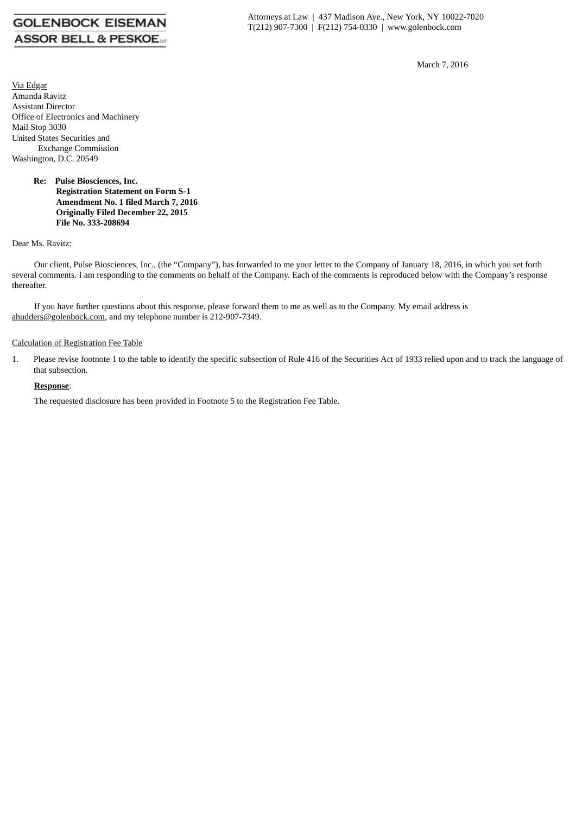# **GOLENBOCK EISEMAN ASSOR BELL & PESKOE.**

March 7, 2016

Via Edgar Amanda Ravitz Assistant Director Office of Electronics and Machinery Mail Stop 3030 United States Securities and Exchange Commission Washington, D.C. 20549

#### **Re: Pulse Biosciences, Inc. Registration Statement on Form S-1 Amendment No. 1 filed March 7, 2016 Originally Filed December 22, 2015 File No. 333-208694**

Dear Ms. Ravitz:

Our client, Pulse Biosciences, Inc., (the "Company"), has forwarded to me your letter to the Company of January 18, 2016, in which you set forth several comments. I am responding to the comments on behalf of the Company. Each of the comments is reproduced below with the Company's response thereafter.

If you have further questions about this response, please forward them to me as well as to the Company. My email address is ahudders@golenbock.com, and my telephone number is 212-907-7349.

# Calculation of Registration Fee Table

1. Please revise footnote 1 to the table to identify the specific subsection of Rule 416 of the Securities Act of 1933 relied upon and to track the language of that subsection.

# **Response**:

The requested disclosure has been provided in Footnote 5 to the Registration Fee Table.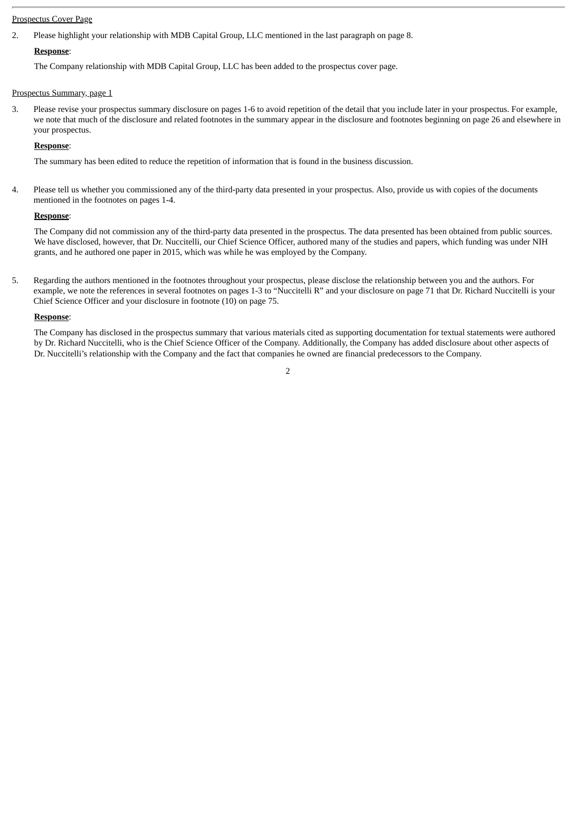# Prospectus Cover Page

2. Please highlight your relationship with MDB Capital Group, LLC mentioned in the last paragraph on page 8.

# **Response**:

The Company relationship with MDB Capital Group, LLC has been added to the prospectus cover page.

#### Prospectus Summary, page 1

3. Please revise your prospectus summary disclosure on pages 1-6 to avoid repetition of the detail that you include later in your prospectus. For example, we note that much of the disclosure and related footnotes in the summary appear in the disclosure and footnotes beginning on page 26 and elsewhere in your prospectus.

# **Response**:

The summary has been edited to reduce the repetition of information that is found in the business discussion.

4. Please tell us whether you commissioned any of the third-party data presented in your prospectus. Also, provide us with copies of the documents mentioned in the footnotes on pages 1-4.

#### **Response**:

The Company did not commission any of the third-party data presented in the prospectus. The data presented has been obtained from public sources. We have disclosed, however, that Dr. Nuccitelli, our Chief Science Officer, authored many of the studies and papers, which funding was under NIH grants, and he authored one paper in 2015, which was while he was employed by the Company.

5. Regarding the authors mentioned in the footnotes throughout your prospectus, please disclose the relationship between you and the authors. For example, we note the references in several footnotes on pages 1-3 to "Nuccitelli R" and your disclosure on page 71 that Dr. Richard Nuccitelli is your Chief Science Officer and your disclosure in footnote (10) on page 75.

#### **Response**:

The Company has disclosed in the prospectus summary that various materials cited as supporting documentation for textual statements were authored by Dr. Richard Nuccitelli, who is the Chief Science Officer of the Company. Additionally, the Company has added disclosure about other aspects of Dr. Nuccitelli's relationship with the Company and the fact that companies he owned are financial predecessors to the Company.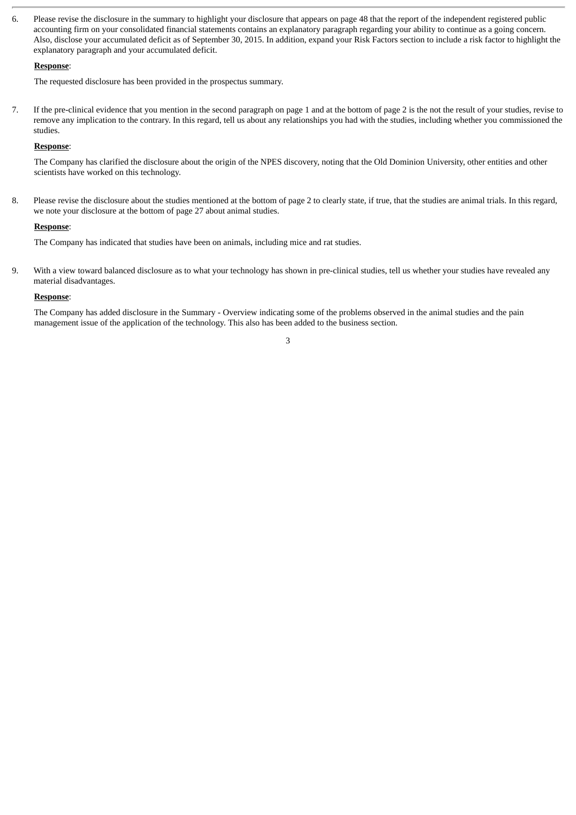6. Please revise the disclosure in the summary to highlight your disclosure that appears on page 48 that the report of the independent registered public accounting firm on your consolidated financial statements contains an explanatory paragraph regarding your ability to continue as a going concern. Also, disclose your accumulated deficit as of September 30, 2015. In addition, expand your Risk Factors section to include a risk factor to highlight the explanatory paragraph and your accumulated deficit.

### **Response**:

The requested disclosure has been provided in the prospectus summary.

7. If the pre-clinical evidence that you mention in the second paragraph on page 1 and at the bottom of page 2 is the not the result of your studies, revise to remove any implication to the contrary. In this regard, tell us about any relationships you had with the studies, including whether you commissioned the studies.

# **Response**:

The Company has clarified the disclosure about the origin of the NPES discovery, noting that the Old Dominion University, other entities and other scientists have worked on this technology.

8. Please revise the disclosure about the studies mentioned at the bottom of page 2 to clearly state, if true, that the studies are animal trials. In this regard, we note your disclosure at the bottom of page 27 about animal studies.

#### **Response**:

The Company has indicated that studies have been on animals, including mice and rat studies.

9. With a view toward balanced disclosure as to what your technology has shown in pre-clinical studies, tell us whether your studies have revealed any material disadvantages.

#### **Response**:

The Company has added disclosure in the Summary - Overview indicating some of the problems observed in the animal studies and the pain management issue of the application of the technology. This also has been added to the business section.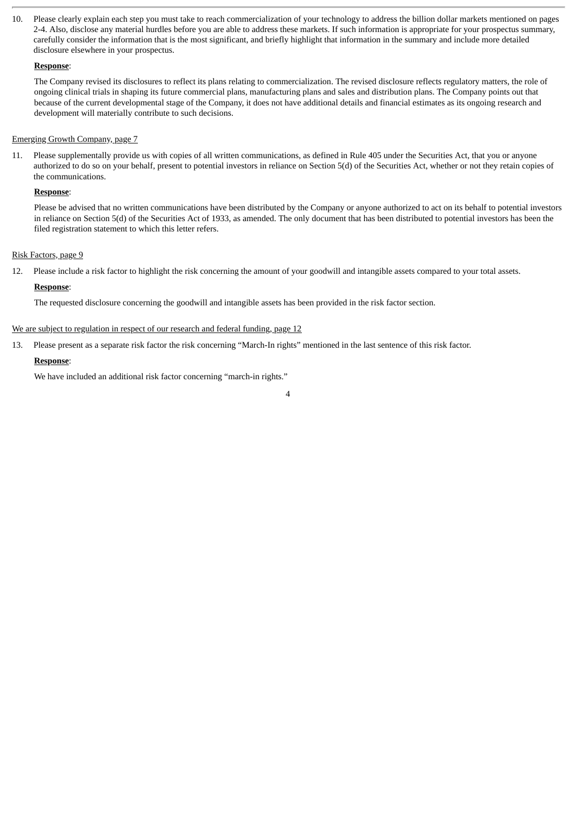10. Please clearly explain each step you must take to reach commercialization of your technology to address the billion dollar markets mentioned on pages 2-4. Also, disclose any material hurdles before you are able to address these markets. If such information is appropriate for your prospectus summary, carefully consider the information that is the most significant, and briefly highlight that information in the summary and include more detailed disclosure elsewhere in your prospectus.

# **Response**:

The Company revised its disclosures to reflect its plans relating to commercialization. The revised disclosure reflects regulatory matters, the role of ongoing clinical trials in shaping its future commercial plans, manufacturing plans and sales and distribution plans. The Company points out that because of the current developmental stage of the Company, it does not have additional details and financial estimates as its ongoing research and development will materially contribute to such decisions.

# Emerging Growth Company, page 7

11. Please supplementally provide us with copies of all written communications, as defined in Rule 405 under the Securities Act, that you or anyone authorized to do so on your behalf, present to potential investors in reliance on Section 5(d) of the Securities Act, whether or not they retain copies of the communications.

# **Response**:

Please be advised that no written communications have been distributed by the Company or anyone authorized to act on its behalf to potential investors in reliance on Section 5(d) of the Securities Act of 1933, as amended. The only document that has been distributed to potential investors has been the filed registration statement to which this letter refers.

4

# Risk Factors, page 9

12. Please include a risk factor to highlight the risk concerning the amount of your goodwill and intangible assets compared to your total assets.

# **Response**:

The requested disclosure concerning the goodwill and intangible assets has been provided in the risk factor section.

# We are subject to regulation in respect of our research and federal funding, page 12

13. Please present as a separate risk factor the risk concerning "March-In rights" mentioned in the last sentence of this risk factor.

# **Response**:

We have included an additional risk factor concerning "march-in rights."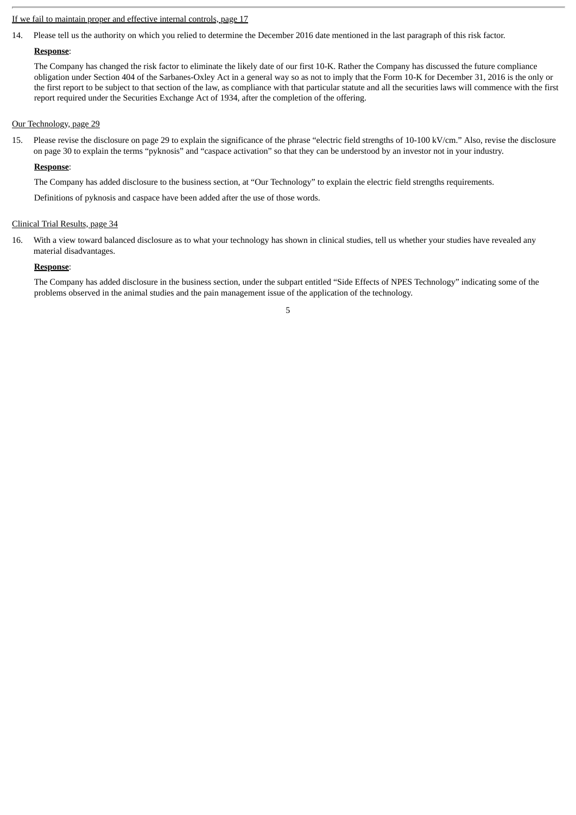# If we fail to maintain proper and effective internal controls, page 17

14. Please tell us the authority on which you relied to determine the December 2016 date mentioned in the last paragraph of this risk factor.

# **Response**:

The Company has changed the risk factor to eliminate the likely date of our first 10-K. Rather the Company has discussed the future compliance obligation under Section 404 of the Sarbanes-Oxley Act in a general way so as not to imply that the Form 10-K for December 31, 2016 is the only or the first report to be subject to that section of the law, as compliance with that particular statute and all the securities laws will commence with the first report required under the Securities Exchange Act of 1934, after the completion of the offering.

#### Our Technology, page 29

15. Please revise the disclosure on page 29 to explain the significance of the phrase "electric field strengths of 10-100 kV/cm." Also, revise the disclosure on page 30 to explain the terms "pyknosis" and "caspace activation" so that they can be understood by an investor not in your industry.

#### **Response**:

The Company has added disclosure to the business section, at "Our Technology" to explain the electric field strengths requirements.

Definitions of pyknosis and caspace have been added after the use of those words.

#### Clinical Trial Results, page 34

16. With a view toward balanced disclosure as to what your technology has shown in clinical studies, tell us whether your studies have revealed any material disadvantages.

#### **Response**:

The Company has added disclosure in the business section, under the subpart entitled "Side Effects of NPES Technology" indicating some of the problems observed in the animal studies and the pain management issue of the application of the technology.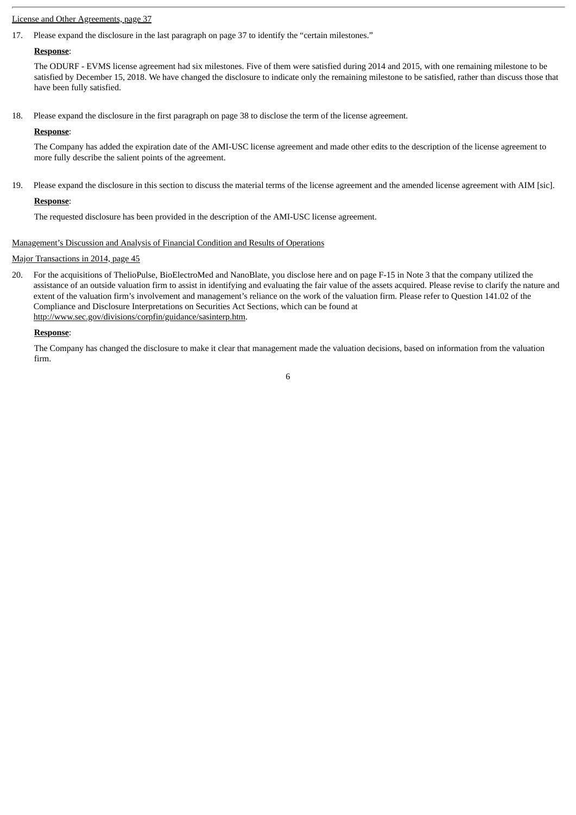#### License and Other Agreements, page 37

17. Please expand the disclosure in the last paragraph on page 37 to identify the "certain milestones."

# **Response**:

The ODURF - EVMS license agreement had six milestones. Five of them were satisfied during 2014 and 2015, with one remaining milestone to be satisfied by December 15, 2018. We have changed the disclosure to indicate only the remaining milestone to be satisfied, rather than discuss those that have been fully satisfied.

18. Please expand the disclosure in the first paragraph on page 38 to disclose the term of the license agreement.

#### **Response**:

The Company has added the expiration date of the AMI-USC license agreement and made other edits to the description of the license agreement to more fully describe the salient points of the agreement.

19. Please expand the disclosure in this section to discuss the material terms of the license agreement and the amended license agreement with AIM [sic].

# **Response**:

The requested disclosure has been provided in the description of the AMI-USC license agreement.

# Management's Discussion and Analysis of Financial Condition and Results of Operations

# Major Transactions in 2014, page 45

20. For the acquisitions of ThelioPulse, BioElectroMed and NanoBlate, you disclose here and on page F-15 in Note 3 that the company utilized the assistance of an outside valuation firm to assist in identifying and evaluating the fair value of the assets acquired. Please revise to clarify the nature and extent of the valuation firm's involvement and management's reliance on the work of the valuation firm. Please refer to Question 141.02 of the Compliance and Disclosure Interpretations on Securities Act Sections, which can be found at http://www.sec.gov/divisions/corpfin/guidance/sasinterp.htm.

# **Response**:

The Company has changed the disclosure to make it clear that management made the valuation decisions, based on information from the valuation firm.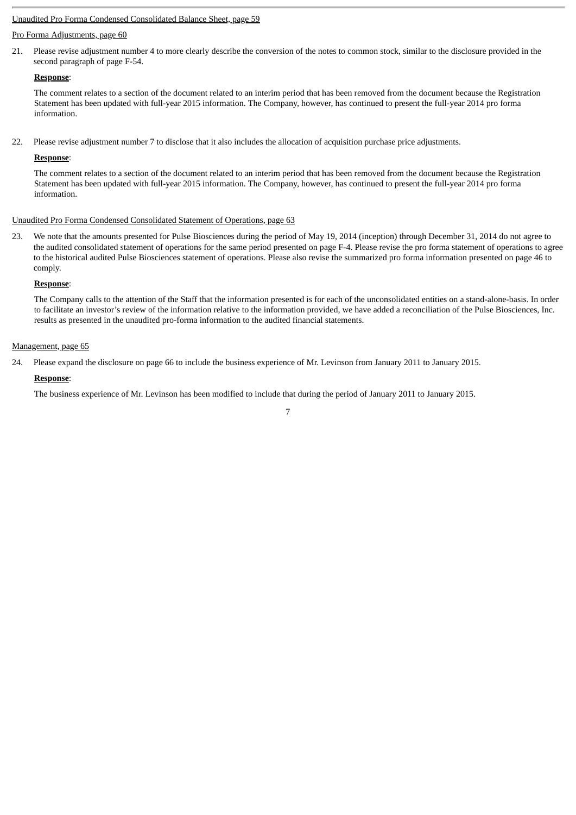# Unaudited Pro Forma Condensed Consolidated Balance Sheet, page 59

#### Pro Forma Adjustments, page 60

21. Please revise adjustment number 4 to more clearly describe the conversion of the notes to common stock, similar to the disclosure provided in the second paragraph of page F-54.

#### **Response**:

The comment relates to a section of the document related to an interim period that has been removed from the document because the Registration Statement has been updated with full-year 2015 information. The Company, however, has continued to present the full-year 2014 pro forma information.

22. Please revise adjustment number 7 to disclose that it also includes the allocation of acquisition purchase price adjustments.

#### **Response**:

The comment relates to a section of the document related to an interim period that has been removed from the document because the Registration Statement has been updated with full-year 2015 information. The Company, however, has continued to present the full-year 2014 pro forma information.

#### Unaudited Pro Forma Condensed Consolidated Statement of Operations, page 63

23. We note that the amounts presented for Pulse Biosciences during the period of May 19, 2014 (inception) through December 31, 2014 do not agree to the audited consolidated statement of operations for the same period presented on page F-4. Please revise the pro forma statement of operations to agree to the historical audited Pulse Biosciences statement of operations. Please also revise the summarized pro forma information presented on page 46 to comply.

#### **Response**:

The Company calls to the attention of the Staff that the information presented is for each of the unconsolidated entities on a stand-alone-basis. In order to facilitate an investor's review of the information relative to the information provided, we have added a reconciliation of the Pulse Biosciences, Inc. results as presented in the unaudited pro-forma information to the audited financial statements.

#### Management, page 65

24. Please expand the disclosure on page 66 to include the business experience of Mr. Levinson from January 2011 to January 2015.

#### **Response**:

The business experience of Mr. Levinson has been modified to include that during the period of January 2011 to January 2015.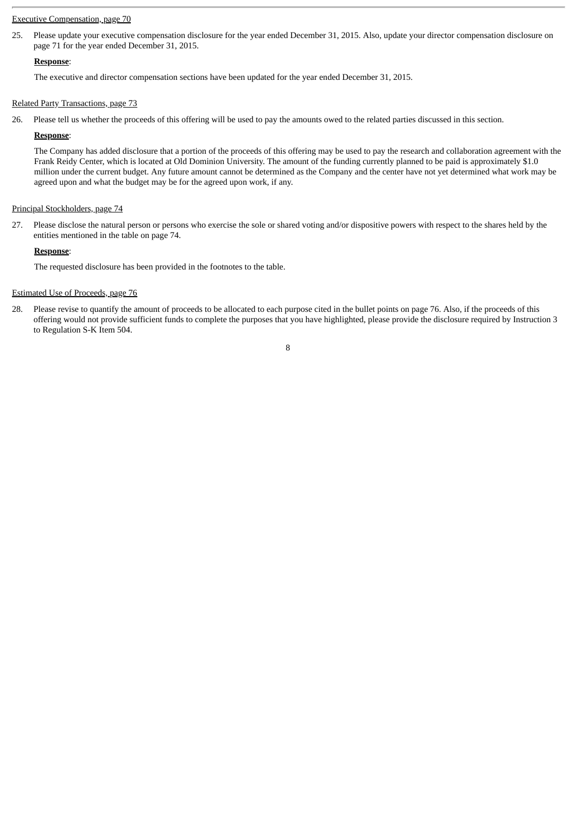#### Executive Compensation, page 70

25. Please update your executive compensation disclosure for the year ended December 31, 2015. Also, update your director compensation disclosure on page 71 for the year ended December 31, 2015.

#### **Response**:

The executive and director compensation sections have been updated for the year ended December 31, 2015.

#### Related Party Transactions, page 73

26. Please tell us whether the proceeds of this offering will be used to pay the amounts owed to the related parties discussed in this section.

### **Response**:

The Company has added disclosure that a portion of the proceeds of this offering may be used to pay the research and collaboration agreement with the Frank Reidy Center, which is located at Old Dominion University. The amount of the funding currently planned to be paid is approximately \$1.0 million under the current budget. Any future amount cannot be determined as the Company and the center have not yet determined what work may be agreed upon and what the budget may be for the agreed upon work, if any.

#### Principal Stockholders, page 74

27. Please disclose the natural person or persons who exercise the sole or shared voting and/or dispositive powers with respect to the shares held by the entities mentioned in the table on page 74.

#### **Response**:

The requested disclosure has been provided in the footnotes to the table.

#### Estimated Use of Proceeds, page 76

28. Please revise to quantify the amount of proceeds to be allocated to each purpose cited in the bullet points on page 76. Also, if the proceeds of this offering would not provide sufficient funds to complete the purposes that you have highlighted, please provide the disclosure required by Instruction 3 to Regulation S-K Item 504.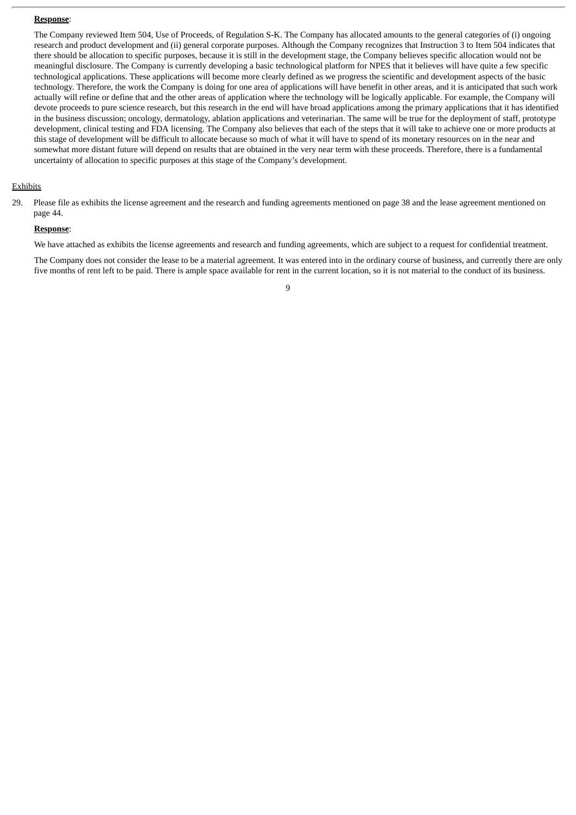#### **Response**:

The Company reviewed Item 504, Use of Proceeds, of Regulation S-K. The Company has allocated amounts to the general categories of (i) ongoing research and product development and (ii) general corporate purposes. Although the Company recognizes that Instruction 3 to Item 504 indicates that there should be allocation to specific purposes, because it is still in the development stage, the Company believes specific allocation would not be meaningful disclosure. The Company is currently developing a basic technological platform for NPES that it believes will have quite a few specific technological applications. These applications will become more clearly defined as we progress the scientific and development aspects of the basic technology. Therefore, the work the Company is doing for one area of applications will have benefit in other areas, and it is anticipated that such work actually will refine or define that and the other areas of application where the technology will be logically applicable. For example, the Company will devote proceeds to pure science research, but this research in the end will have broad applications among the primary applications that it has identified in the business discussion; oncology, dermatology, ablation applications and veterinarian. The same will be true for the deployment of staff, prototype development, clinical testing and FDA licensing. The Company also believes that each of the steps that it will take to achieve one or more products at this stage of development will be difficult to allocate because so much of what it will have to spend of its monetary resources on in the near and somewhat more distant future will depend on results that are obtained in the very near term with these proceeds. Therefore, there is a fundamental uncertainty of allocation to specific purposes at this stage of the Company's development.

#### **Exhibits**

29. Please file as exhibits the license agreement and the research and funding agreements mentioned on page 38 and the lease agreement mentioned on page 44.

#### **Response**:

We have attached as exhibits the license agreements and research and funding agreements, which are subject to a request for confidential treatment.

The Company does not consider the lease to be a material agreement. It was entered into in the ordinary course of business, and currently there are only five months of rent left to be paid. There is ample space available for rent in the current location, so it is not material to the conduct of its business.